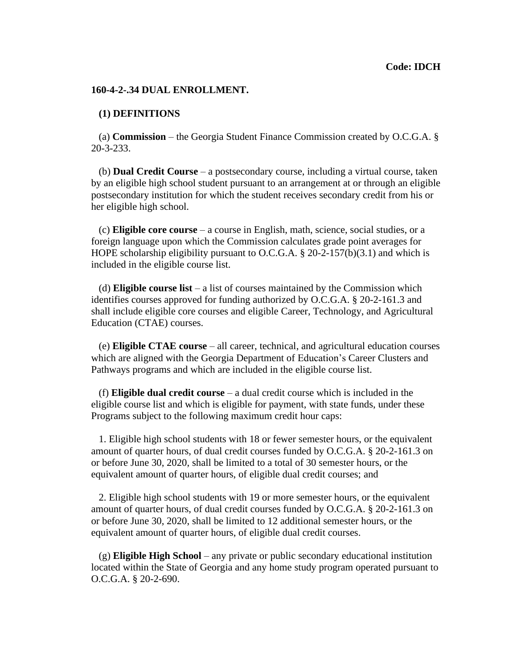### **[160-4-2-.34](https://160-4-2-.34) DUAL ENROLLMENT.**

### **(1) DEFINITIONS**

(a) **Commission** – the Georgia Student Finance Commission created by O.C.G.A. § 20-3-233.

(b) **Dual Credit Course** – a postsecondary course, including a virtual course, taken by an eligible high school student pursuant to an arrangement at or through an eligible postsecondary institution for which the student receives secondary credit from his or her eligible high school.

(c) **Eligible core course** – a course in English, math, science, social studies, or a foreign language upon which the Commission calculates grade point averages for HOPE scholarship eligibility pursuant to O.C.G.A. § 20-2-157(b)(3.1) and which is included in the eligible course list.

(d) **Eligible course list** – a list of courses maintained by the Commission which identifies courses approved for funding authorized by O.C.G.A. § 20-2-161.3 and shall include eligible core courses and eligible Career, Technology, and Agricultural Education (CTAE) courses.

(e) **Eligible CTAE course** – all career, technical, and agricultural education courses which are aligned with the Georgia Department of Education's Career Clusters and Pathways programs and which are included in the eligible course list.

(f) **Eligible dual credit course** – a dual credit course which is included in the eligible course list and which is eligible for payment, with state funds, under these Programs subject to the following maximum credit hour caps:

1. Eligible high school students with 18 or fewer semester hours, or the equivalent amount of quarter hours, of dual credit courses funded by O.C.G.A. § 20-2-161.3 on or before June 30, 2020, shall be limited to a total of 30 semester hours, or the equivalent amount of quarter hours, of eligible dual credit courses; and

2. Eligible high school students with 19 or more semester hours, or the equivalent amount of quarter hours, of dual credit courses funded by O.C.G.A. § 20-2-161.3 on or before June 30, 2020, shall be limited to 12 additional semester hours, or the equivalent amount of quarter hours, of eligible dual credit courses.

(g) **Eligible High School** – any private or public secondary educational institution located within the State of Georgia and any home study program operated pursuant to O.C.G.A. § 20-2-690.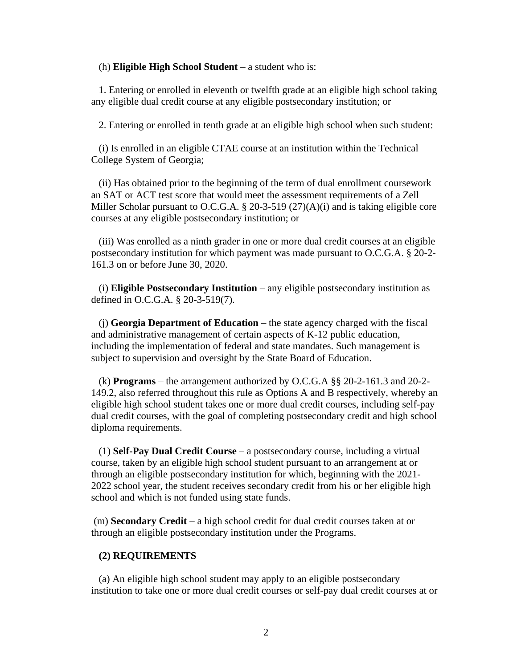(h) **Eligible High School Student** – a student who is:

1. Entering or enrolled in eleventh or twelfth grade at an eligible high school taking any eligible dual credit course at any eligible postsecondary institution; or

2. Entering or enrolled in tenth grade at an eligible high school when such student:

(i) Is enrolled in an eligible CTAE course at an institution within the Technical College System of Georgia;

(ii) Has obtained prior to the beginning of the term of dual enrollment coursework an SAT or ACT test score that would meet the assessment requirements of a Zell Miller Scholar pursuant to O.C.G.A. § 20-3-519 (27)(A)(i) and is taking eligible core courses at any eligible postsecondary institution; or

(iii) Was enrolled as a ninth grader in one or more dual credit courses at an eligible postsecondary institution for which payment was made pursuant to O.C.G.A. § 20-2- 161.3 on or before June 30, 2020.

(i) **Eligible Postsecondary Institution** – any eligible postsecondary institution as defined in O.C.G.A. § 20-3-519(7).

(j) **Georgia Department of Education** – the state agency charged with the fiscal and administrative management of certain aspects of K-12 public education, including the implementation of federal and state mandates. Such management is subject to supervision and oversight by the State Board of Education.

(k) **Programs** – the arrangement authorized by O.C.G.A §§ 20-2-161.3 and 20-2- 149.2, also referred throughout this rule as Options A and B respectively, whereby an eligible high school student takes one or more dual credit courses, including self-pay dual credit courses, with the goal of completing postsecondary credit and high school diploma requirements.

(1) **Self-Pay Dual Credit Course** – a postsecondary course, including a virtual course, taken by an eligible high school student pursuant to an arrangement at or through an eligible postsecondary institution for which, beginning with the 2021- 2022 school year, the student receives secondary credit from his or her eligible high school and which is not funded using state funds.

(m) **Secondary Credit** – a high school credit for dual credit courses taken at or through an eligible postsecondary institution under the Programs.

# **(2) REQUIREMENTS**

(a) An eligible high school student may apply to an eligible postsecondary institution to take one or more dual credit courses or self-pay dual credit courses at or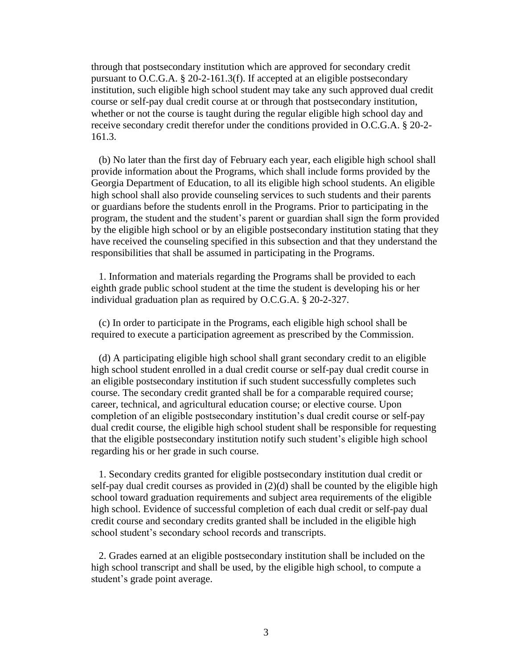through that postsecondary institution which are approved for secondary credit pursuant to O.C.G.A. § 20-2-161.3(f). If accepted at an eligible postsecondary institution, such eligible high school student may take any such approved dual credit course or self-pay dual credit course at or through that postsecondary institution, whether or not the course is taught during the regular eligible high school day and receive secondary credit therefor under the conditions provided in O.C.G.A. § 20-2- 161.3.

(b) No later than the first day of February each year, each eligible high school shall provide information about the Programs, which shall include forms provided by the Georgia Department of Education, to all its eligible high school students. An eligible high school shall also provide counseling services to such students and their parents or guardians before the students enroll in the Programs. Prior to participating in the program, the student and the student's parent or guardian shall sign the form provided by the eligible high school or by an eligible postsecondary institution stating that they have received the counseling specified in this subsection and that they understand the responsibilities that shall be assumed in participating in the Programs.

1. Information and materials regarding the Programs shall be provided to each eighth grade public school student at the time the student is developing his or her individual graduation plan as required by O.C.G.A. § 20-2-327.

(c) In order to participate in the Programs, each eligible high school shall be required to execute a participation agreement as prescribed by the Commission.

(d) A participating eligible high school shall grant secondary credit to an eligible high school student enrolled in a dual credit course or self-pay dual credit course in an eligible postsecondary institution if such student successfully completes such course. The secondary credit granted shall be for a comparable required course; career, technical, and agricultural education course; or elective course. Upon completion of an eligible postsecondary institution's dual credit course or self-pay dual credit course, the eligible high school student shall be responsible for requesting that the eligible postsecondary institution notify such student's eligible high school regarding his or her grade in such course.

1. Secondary credits granted for eligible postsecondary institution dual credit or self-pay dual credit courses as provided in  $(2)(d)$  shall be counted by the eligible high school toward graduation requirements and subject area requirements of the eligible high school. Evidence of successful completion of each dual credit or self-pay dual credit course and secondary credits granted shall be included in the eligible high school student's secondary school records and transcripts.

2. Grades earned at an eligible postsecondary institution shall be included on the high school transcript and shall be used, by the eligible high school, to compute a student's grade point average.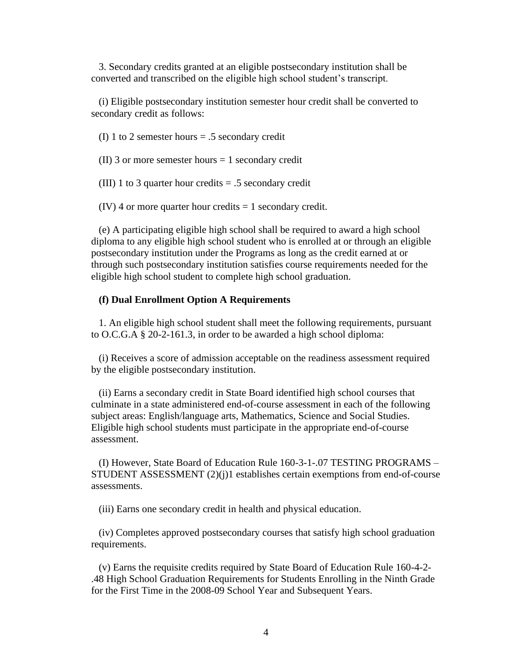3. Secondary credits granted at an eligible postsecondary institution shall be converted and transcribed on the eligible high school student's transcript.

(i) Eligible postsecondary institution semester hour credit shall be converted to secondary credit as follows:

(I) 1 to 2 semester hours = .5 secondary credit

(II) 3 or more semester hours  $= 1$  secondary credit

(III) 1 to 3 quarter hour credits  $= .5$  secondary credit

 $(IV)$  4 or more quarter hour credits = 1 secondary credit.

(e) A participating eligible high school shall be required to award a high school diploma to any eligible high school student who is enrolled at or through an eligible postsecondary institution under the Programs as long as the credit earned at or through such postsecondary institution satisfies course requirements needed for the eligible high school student to complete high school graduation.

# **(f) Dual Enrollment Option A Requirements**

1. An eligible high school student shall meet the following requirements, pursuant to O.C.G.A § 20-2-161.3, in order to be awarded a high school diploma:

(i) Receives a score of admission acceptable on the readiness assessment required by the eligible postsecondary institution.

(ii) Earns a secondary credit in State Board identified high school courses that culminate in a state administered end-of-course assessment in each of the following subject areas: English/language arts, Mathematics, Science and Social Studies. Eligible high school students must participate in the appropriate end-of-course assessment.

(I) However, State Board of Education Rule [160-3-1-.07](https://160-3-1-.07) TESTING PROGRAMS – STUDENT ASSESSMENT (2)(j)1 establishes certain exemptions from end-of-course assessments.

(iii) Earns one secondary credit in health and physical education.

(iv) Completes approved postsecondary courses that satisfy high school graduation requirements.

(v) Earns the requisite credits required by State Board of Education Rule 160-4-2- .48 High School Graduation Requirements for Students Enrolling in the Ninth Grade for the First Time in the 2008-09 School Year and Subsequent Years.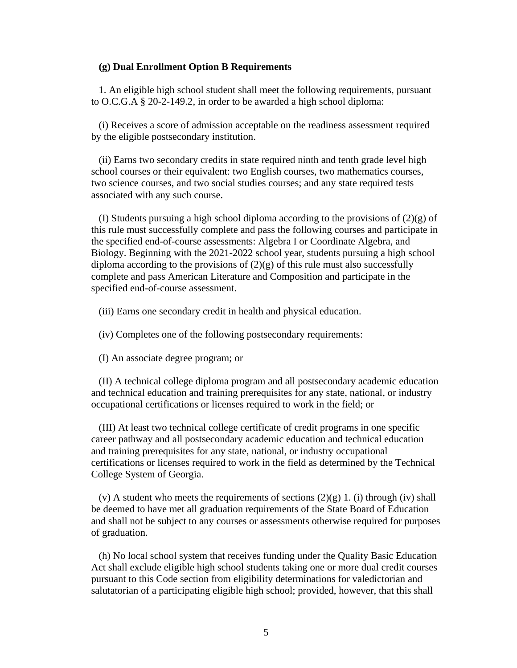#### **(g) Dual Enrollment Option B Requirements**

1. An eligible high school student shall meet the following requirements, pursuant to O.C.G.A § 20-2-149.2, in order to be awarded a high school diploma:

(i) Receives a score of admission acceptable on the readiness assessment required by the eligible postsecondary institution.

(ii) Earns two secondary credits in state required ninth and tenth grade level high school courses or their equivalent: two English courses, two mathematics courses, two science courses, and two social studies courses; and any state required tests associated with any such course.

(I) Students pursuing a high school diploma according to the provisions of (2)(g) of this rule must successfully complete and pass the following courses and participate in the specified end-of-course assessments: Algebra I or Coordinate Algebra, and Biology. Beginning with the 2021-2022 school year, students pursuing a high school diploma according to the provisions of  $(2)(g)$  of this rule must also successfully complete and pass American Literature and Composition and participate in the specified end-of-course assessment.

(iii) Earns one secondary credit in health and physical education.

(iv) Completes one of the following postsecondary requirements:

(I) An associate degree program; or

(II) A technical college diploma program and all postsecondary academic education and technical education and training prerequisites for any state, national, or industry occupational certifications or licenses required to work in the field; or

(III) At least two technical college certificate of credit programs in one specific career pathway and all postsecondary academic education and technical education and training prerequisites for any state, national, or industry occupational certifications or licenses required to work in the field as determined by the Technical College System of Georgia.

(v) A student who meets the requirements of sections  $(2)(g)$  1. (i) through (iv) shall be deemed to have met all graduation requirements of the State Board of Education and shall not be subject to any courses or assessments otherwise required for purposes of graduation.

(h) No local school system that receives funding under the Quality Basic Education Act shall exclude eligible high school students taking one or more dual credit courses pursuant to this Code section from eligibility determinations for valedictorian and salutatorian of a participating eligible high school; provided, however, that this shall